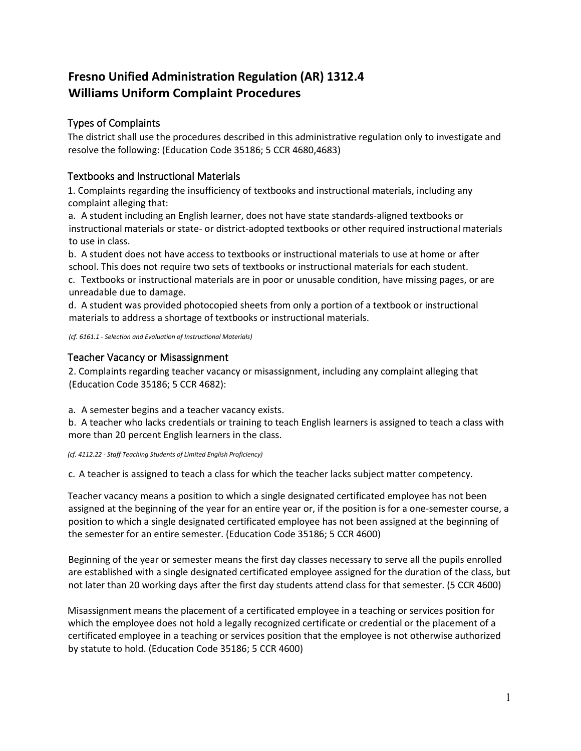# **Fresno Unified Administration Regulation (AR) 1312.4 Williams Uniform Complaint Procedures**

# Types of Complaints

The district shall use the procedures described in this administrative regulation only to investigate and resolve the following: (Education Code 35186; 5 CCR 4680,4683)

# Textbooks and Instructional Materials

1. Complaints regarding the insufficiency of textbooks and instructional materials, including any complaint alleging that:

a. A student including an English learner, does not have state standards-aligned textbooks or instructional materials or state- or district-adopted textbooks or other required instructional materials to use in class.

b. A student does not have access to textbooks or instructional materials to use at home or after school. This does not require two sets of textbooks or instructional materials for each student.

c. Textbooks or instructional materials are in poor or unusable condition, have missing pages, or are unreadable due to damage.

d. A student was provided photocopied sheets from only a portion of a textbook or instructional materials to address a shortage of textbooks or instructional materials.

*(cf[. 6161.1](http://www.fresnounified.org/board/policies/Policies/fusd/displaypolicy/144059/1.htm) - Selection and Evaluation of Instructional Materials)* 

# Teacher Vacancy or Misassignment

2. Complaints regarding teacher vacancy or misassignment, including any complaint alleging that (Education Code 35186; 5 CCR 4682):

a. A semester begins and a teacher vacancy exists.

b. A teacher who lacks credentials or training to teach English learners is assigned to teach a class with more than 20 percent English learners in the class.

#### *(cf[. 4112.22](http://www.fresnounified.org/board/policies/Policies/fusd/displaypolicy/143570/1.htm) - Staff Teaching Students of Limited English Proficiency)*

c. A teacher is assigned to teach a class for which the teacher lacks subject matter competency.

Teacher vacancy means a position to which a single designated certificated employee has not been assigned at the beginning of the year for an entire year or, if the position is for a one-semester course, a position to which a single designated certificated employee has not been assigned at the beginning of the semester for an entire semester. (Education Code 35186; 5 CCR 4600)

Beginning of the year or semester means the first day classes necessary to serve all the pupils enrolled are established with a single designated certificated employee assigned for the duration of the class, but not later than 20 working days after the first day students attend class for that semester. (5 CCR 4600)

Misassignment means the placement of a certificated employee in a teaching or services position for which the employee does not hold a legally recognized certificate or credential or the placement of a certificated employee in a teaching or services position that the employee is not otherwise authorized by statute to hold. (Education Code 35186; 5 CCR 4600)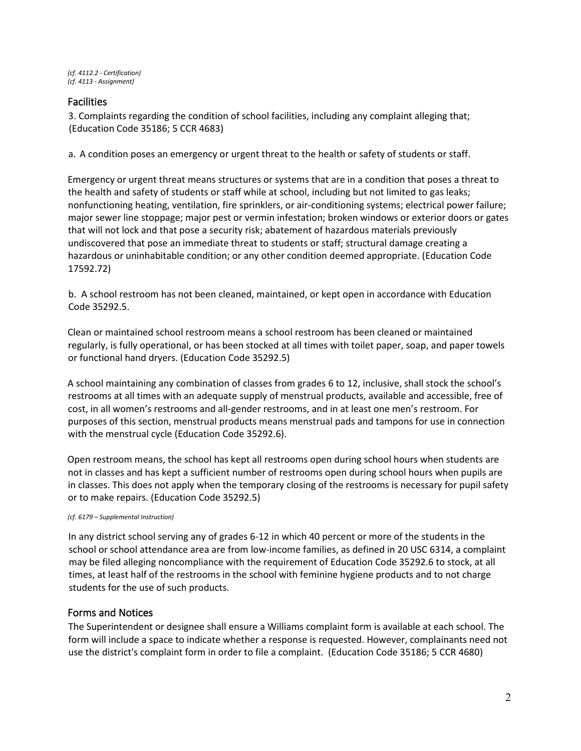# Facilities

3. Complaints regarding the condition of school facilities, including any complaint alleging that; (Education Code 35186; 5 CCR 4683)

a. A condition poses an emergency or urgent threat to the health or safety of students or staff.

Emergency or urgent threat means structures or systems that are in a condition that poses a threat to the health and safety of students or staff while at school, including but not limited to gas leaks; nonfunctioning heating, ventilation, fire sprinklers, or air-conditioning systems; electrical power failure; major sewer line stoppage; major pest or vermin infestation; broken windows or exterior doors or gates that will not lock and that pose a security risk; abatement of hazardous materials previously undiscovered that pose an immediate threat to students or staff; structural damage creating a hazardous or uninhabitable condition; or any other condition deemed appropriate. (Education Code 17592.72)

b. A school restroom has not been cleaned, maintained, or kept open in accordance with Education Code 35292.5.

Clean or maintained school restroom means a school restroom has been cleaned or maintained regularly, is fully operational, or has been stocked at all times with toilet paper, soap, and paper towels or functional hand dryers. (Education Code 35292.5)

A school maintaining any combination of classes from grades 6 to 12, inclusive, shall stock the school's restrooms at all times with an adequate supply of menstrual products, available and accessible, free of cost, in all women's restrooms and all-gender restrooms, and in at least one men's restroom. For purposes of this section, menstrual products means menstrual pads and tampons for use in connection with the menstrual cycle (Education Code 35292.6).

Open restroom means, the school has kept all restrooms open during school hours when students are not in classes and has kept a sufficient number of restrooms open during school hours when pupils are in classes. This does not apply when the temporary closing of the restrooms is necessary for pupil safety or to make repairs. (Education Code 35292.5)

#### *(cf. 6179 – Supplemental Instruction)*

In any district school serving any of grades 6-12 in which 40 percent or more of the students in the school or school attendance area are from low-income families, as defined in 20 USC 6314, a complaint may be filed alleging noncompliance with the requirement of Education Code 35292.6 to stock, at all times, at least half of the restrooms in the school with feminine hygiene products and to not charge students for the use of such products.

# Forms and Notices

The Superintendent or designee shall ensure a Williams complaint form is available at each school. The form will include a space to indicate whether a response is requested. However, complainants need not use the district's complaint form in order to file a complaint. (Education Code 35186; 5 CCR 4680)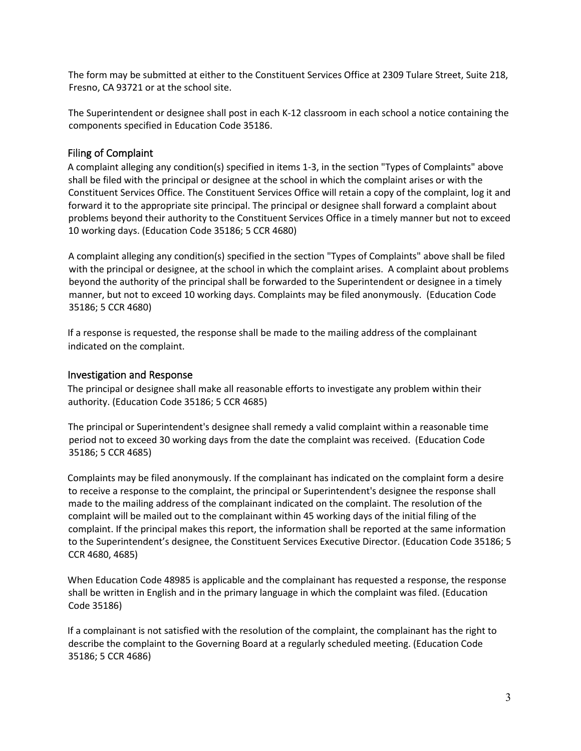The form may be submitted at either to the Constituent Services Office at 2309 Tulare Street, Suite 218, Fresno, CA 93721 or at the school site.

The Superintendent or designee shall post in each K-12 classroom in each school a notice containing the components specified in Education Code 35186.

# Filing of Complaint

A complaint alleging any condition(s) specified in items 1-3, in the section "Types of Complaints" above shall be filed with the principal or designee at the school in which the complaint arises or with the Constituent Services Office. The Constituent Services Office will retain a copy of the complaint, log it and forward it to the appropriate site principal. The principal or designee shall forward a complaint about problems beyond their authority to the Constituent Services Office in a timely manner but not to exceed 10 working days. (Education Code 35186; 5 CCR 4680)

A complaint alleging any condition(s) specified in the section "Types of Complaints" above shall be filed with the principal or designee, at the school in which the complaint arises. A complaint about problems beyond the authority of the principal shall be forwarded to the Superintendent or designee in a timely manner, but not to exceed 10 working days. Complaints may be filed anonymously. (Education Code 35186; 5 CCR 4680)

If a response is requested, the response shall be made to the mailing address of the complainant indicated on the complaint.

### Investigation and Response

The principal or designee shall make all reasonable efforts to investigate any problem within their authority. (Education Code 35186; 5 CCR 4685)

The principal or Superintendent's designee shall remedy a valid complaint within a reasonable time period not to exceed 30 working days from the date the complaint was received. (Education Code 35186; 5 CCR 4685)

Complaints may be filed anonymously. If the complainant has indicated on the complaint form a desire to receive a response to the complaint, the principal or Superintendent's designee the response shall made to the mailing address of the complainant indicated on the complaint. The resolution of the complaint will be mailed out to the complainant within 45 working days of the initial filing of the complaint. If the principal makes this report, the information shall be reported at the same information to the Superintendent's designee, the Constituent Services Executive Director. (Education Code 35186; 5 CCR 4680, 4685)

When Education Code 48985 is applicable and the complainant has requested a response, the response shall be written in English and in the primary language in which the complaint was filed. (Education Code 35186)

If a complainant is not satisfied with the resolution of the complaint, the complainant has the right to describe the complaint to the Governing Board at a regularly scheduled meeting. (Education Code 35186; 5 CCR 4686)